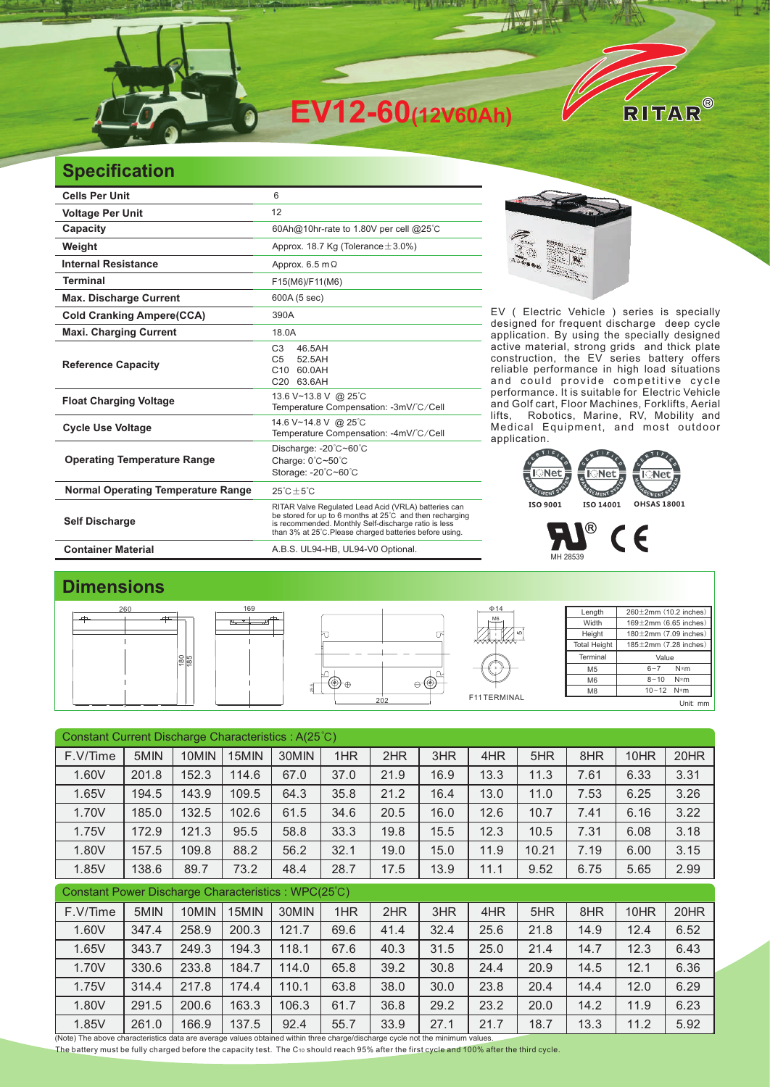

## **Specification**

| <b>Cells Per Unit</b>                     | 6                                                                                                                                                                                                                                   |  |  |  |  |  |
|-------------------------------------------|-------------------------------------------------------------------------------------------------------------------------------------------------------------------------------------------------------------------------------------|--|--|--|--|--|
| <b>Voltage Per Unit</b>                   | 12                                                                                                                                                                                                                                  |  |  |  |  |  |
| Capacity                                  | 60Ah@10hr-rate to 1.80V per cell @25°C                                                                                                                                                                                              |  |  |  |  |  |
| Weight                                    | Approx. 18.7 Kg (Tolerance $\pm$ 3.0%)                                                                                                                                                                                              |  |  |  |  |  |
| <b>Internal Resistance</b>                | Approx. $6.5 \text{ m}\Omega$                                                                                                                                                                                                       |  |  |  |  |  |
| <b>Terminal</b>                           | F15(M6)/F11(M6)                                                                                                                                                                                                                     |  |  |  |  |  |
| <b>Max. Discharge Current</b>             | 600A (5 sec)                                                                                                                                                                                                                        |  |  |  |  |  |
| <b>Cold Cranking Ampere(CCA)</b>          | 390A                                                                                                                                                                                                                                |  |  |  |  |  |
| <b>Maxi. Charging Current</b>             | 18.0A                                                                                                                                                                                                                               |  |  |  |  |  |
| <b>Reference Capacity</b>                 | 46.5AH<br>C <sub>3</sub><br>52.5AH<br>C <sub>5</sub><br>60.0AH<br>C <sub>10</sub><br>C20 63.6AH                                                                                                                                     |  |  |  |  |  |
| <b>Float Charging Voltage</b>             | 13.6 V~13.8 V @ 25°C<br>Temperature Compensation: -3mV/°C/Cell                                                                                                                                                                      |  |  |  |  |  |
| <b>Cycle Use Voltage</b>                  | 14.6 V~14.8 V @ 25°C<br>Temperature Compensation: -4mV/°C/Cell                                                                                                                                                                      |  |  |  |  |  |
| <b>Operating Temperature Range</b>        | Discharge: -20°C~60°C<br>Charge: 0°C~50°C<br>Storage: -20°C~60°C                                                                                                                                                                    |  |  |  |  |  |
| <b>Normal Operating Temperature Range</b> | $25^{\circ}$ C $\pm 5^{\circ}$ C                                                                                                                                                                                                    |  |  |  |  |  |
| <b>Self Discharge</b>                     | RITAR Valve Regulated Lead Acid (VRLA) batteries can<br>be stored for up to 6 months at 25°C and then recharging<br>is recommended. Monthly Self-discharge ratio is less<br>than 3% at 25°C. Please charged batteries before using. |  |  |  |  |  |
| <b>Container Material</b>                 | A.B.S. UL94-HB, UL94-V0 Optional.                                                                                                                                                                                                   |  |  |  |  |  |



EV ( Electric Vehicle ) series is specially designed for frequent discharge deep cycle application. By using the specially designed active material, strong grids and thick plate construction, the EV series battery offers reliable performance in high load situations and could provide competitive cycle performance. It is suitable for Electric Vehicle and Golf cart, Floor Machines, Forklifts, Aerial lifts, Robotics, Marine, RV, Mobility and Medical Equipment, and most outdoor application. It is suitable for



#### $\mathbf{L}$ MH 28539

### **Dimensions**

| 260              | 169 |     | $\Phi$ 14   | Length              | $260 \pm 2$ mm (10.2 inches) |
|------------------|-----|-----|-------------|---------------------|------------------------------|
| ≖                |     |     | M6<br>__    | Width               | $169 \pm 2$ mm (6.65 inches) |
|                  |     | 冋   | ᇋ           | Height              | $180 \pm 2$ mm (7.09 inches) |
|                  |     |     |             | <b>Total Height</b> | $185 \pm 2$ mm (7.28 inches) |
| $\frac{80}{185}$ |     |     |             | Terminal            | Value                        |
|                  |     |     |             | M <sub>5</sub>      | $6 - 7$<br>$N*m$             |
|                  |     | →⊕⊢ |             | M <sub>6</sub>      | $8 - 10$ N*m                 |
|                  |     |     |             | M <sub>8</sub>      | $10 - 12$ N*m                |
|                  |     | 202 | F11TERMINAL |                     | Unit: mm                     |

| Constant Current Discharge Characteristics: A(25°C)                                                                           |       |       |       |       |      |      |      |      |       |      |      |      |
|-------------------------------------------------------------------------------------------------------------------------------|-------|-------|-------|-------|------|------|------|------|-------|------|------|------|
| F.V/Time                                                                                                                      | 5MIN  | 10MIN | 15MIN | 30MIN | 1HR  | 2HR  | 3HR  | 4HR  | 5HR   | 8HR  | 10HR | 20HR |
| 1.60V                                                                                                                         | 201.8 | 152.3 | 114.6 | 67.0  | 37.0 | 21.9 | 16.9 | 13.3 | 11.3  | 7.61 | 6.33 | 3.31 |
| 1.65V                                                                                                                         | 194.5 | 143.9 | 109.5 | 64.3  | 35.8 | 21.2 | 16.4 | 13.0 | 11.0  | 7.53 | 6.25 | 3.26 |
| 1.70V                                                                                                                         | 185.0 | 132.5 | 102.6 | 61.5  | 34.6 | 20.5 | 16.0 | 12.6 | 10.7  | 7.41 | 6.16 | 3.22 |
| 1.75V                                                                                                                         | 172.9 | 121.3 | 95.5  | 58.8  | 33.3 | 19.8 | 15.5 | 12.3 | 10.5  | 7.31 | 6.08 | 3.18 |
| 1.80V                                                                                                                         | 157.5 | 109.8 | 88.2  | 56.2  | 32.1 | 19.0 | 15.0 | 11.9 | 10.21 | 7.19 | 6.00 | 3.15 |
| 1.85V                                                                                                                         | 138.6 | 89.7  | 73.2  | 48.4  | 28.7 | 17.5 | 13.9 | 11.1 | 9.52  | 6.75 | 5.65 | 2.99 |
| Constant Power Discharge Characteristics: WPC(25°C)                                                                           |       |       |       |       |      |      |      |      |       |      |      |      |
| F.V/Time                                                                                                                      | 5MIN  | 10MIN | 15MIN | 30MIN | 1HR  | 2HR  | 3HR  | 4HR  | 5HR   | 8HR  | 10HR | 20HR |
| 1.60V                                                                                                                         | 347.4 | 258.9 | 200.3 | 121.7 | 69.6 | 41.4 | 32.4 | 25.6 | 21.8  | 14.9 | 12.4 | 6.52 |
| 1.65V                                                                                                                         | 343.7 | 249.3 | 194.3 | 118.1 | 67.6 | 40.3 | 31.5 | 25.0 | 21.4  | 14.7 | 12.3 | 6.43 |
| 1.70V                                                                                                                         | 330.6 | 233.8 | 184.7 | 114.0 | 65.8 | 39.2 | 30.8 | 24.4 | 20.9  | 14.5 | 12.1 | 6.36 |
| 1.75V                                                                                                                         | 314.4 | 217.8 | 174.4 | 110.1 | 63.8 | 38.0 | 30.0 | 23.8 | 20.4  | 14.4 | 12.0 | 6.29 |
| 1.80V                                                                                                                         | 291.5 | 200.6 | 163.3 | 106.3 | 61.7 | 36.8 | 29.2 | 23.2 | 20.0  | 14.2 | 11.9 | 6.23 |
| 1.85V                                                                                                                         | 261.0 | 166.9 | 137.5 | 92.4  | 55.7 | 33.9 | 27.1 | 21.7 | 18.7  | 13.3 | 11.2 | 5.92 |
| (Note) The above characteristics data are average values obtained within three charge/discharge cycle not the minimum values. |       |       |       |       |      |      |      |      |       |      |      |      |

The battery must be fully charged before the capacity test. The C10 should reach 95% after the first cycle and 100% after the third cycle.